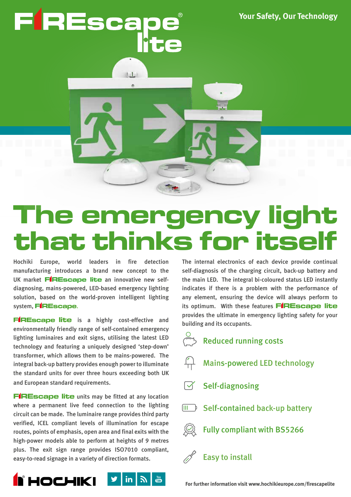# **The emergency light that thinks for itself**

Hochiki Europe, world leaders in fire detection manufacturing introduces a brand new concept to the UK market **FIREscape lite** an innovative new selfdiagnosing, mains-powered, LED-based emergency lighting solution, based on the world-proven intelligent lighting system, **F**I**REscape**.

**FREsca** 

 $1 - 1$ 

**FIREscape lite** is a highly cost-effective and environmentally friendly range of self-contained emergency lighting luminaires and exit signs, utilising the latest LED technology and featuring a uniquely designed 'step-down' transformer, which allows them to be mains-powered. The integral back-up battery provides enough power to illuminate the standard units for over three hours exceeding both UK and European standard requirements.

**FIREscape lite** units may be fitted at any location where a permanent live feed connection to the lighting circuit can be made. The luminaire range provides third party verified, ICEL compliant levels of illumination for escape routes, points of emphasis, open area and final exits with the high-power models able to perform at heights of 9 metres plus. The exit sign range provides ISO7010 compliant, easy-to-read signage in a variety of direction formats.



The internal electronics of each device provide continual self-diagnosis of the charging circuit, back-up battery and the main LED. The integral bi-coloured status LED instantly indicates if there is a problem with the performance of any element, ensuring the device will always perform to its optimum. With these features **F**I**REscape lite** provides the ultimate in emergency lighting safety for your building and its occupants.

Reduced running costs Mains-powered LED technology Self-diagnosing Self-contained back-up battery  $\Box$ Fully compliant with BS5266

Easy to install